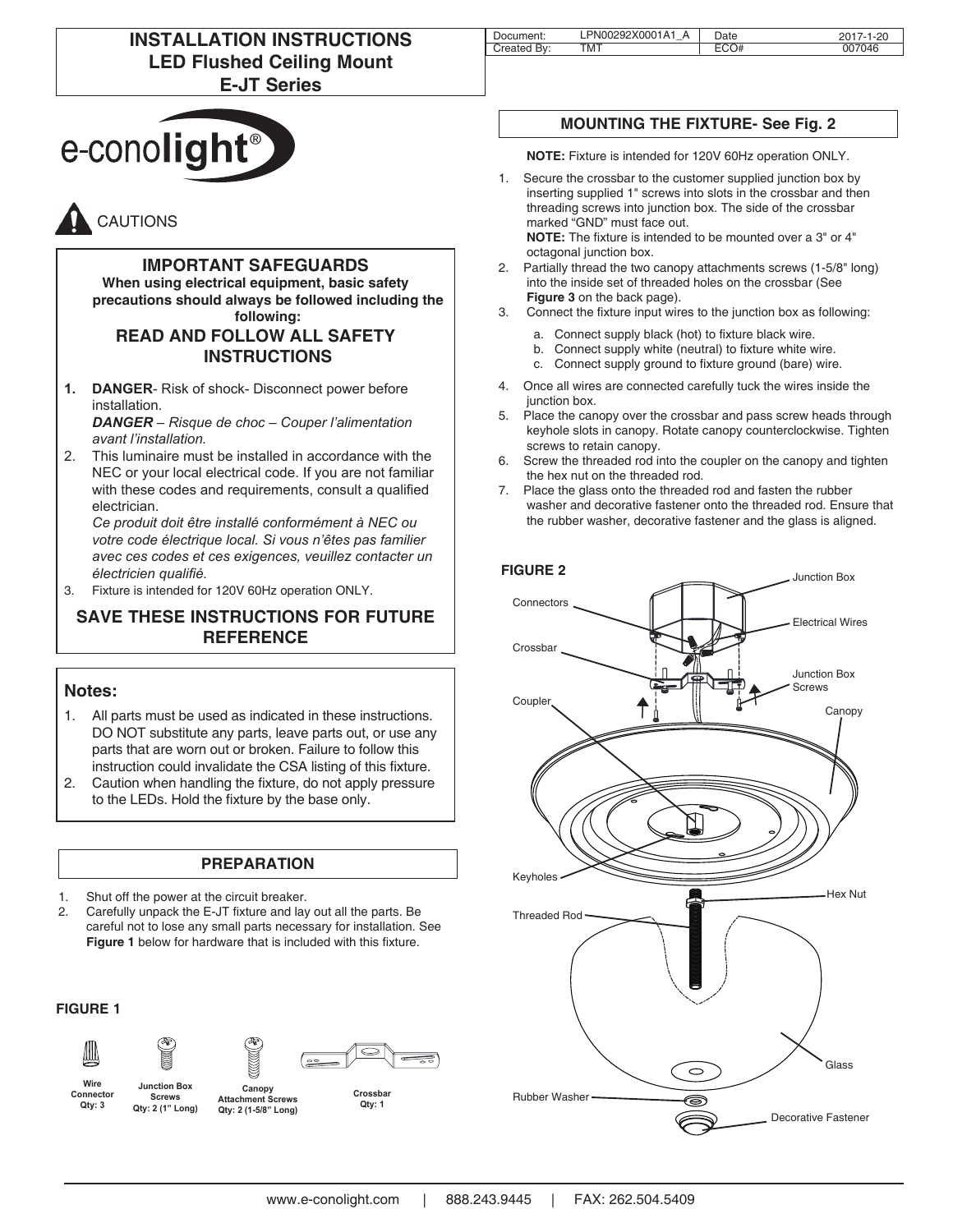# **INSTALLATION INSTRUCTIONS LED Flushed Ceiling Mount E-JT Series**



# CAUTIONS

#### **IMPORTANT SAFEGUARDS**

**When using electrical equipment, basic safety precautions should always be followed including the following:**

## **READ AND FOLLOW ALL SAFETY INSTRUCTIONS**

**1. DANGER**- Risk of shock- Disconnect power before installation.

*DANGER – Risque de choc – Couper l'alimentation avant l'installation.*

2. This luminaire must be installed in accordance with the NEC or your local electrical code. If you are not familiar with these codes and requirements, consult a qualified electrician.

*Ce produit doit être installé conformément à NEC ou votre code électrique local. Si vous n'êtes pas familier avec ces codes et ces exigences, veuillez contacter un électricien qualifié.*

3. Fixture is intended for 120V 60Hz operation ONLY.

## **SAVE THESE INSTRUCTIONS FOR FUTURE REFERENCE**

#### **Notes:**

- 1. All parts must be used as indicated in these instructions. DO NOT substitute any parts, leave parts out, or use any parts that are worn out or broken. Failure to follow this instruction could invalidate the CSA listing of this fixture.
- 2. Caution when handling the fixture, do not apply pressure to the LEDs. Hold the fixture by the base only.

#### **PREPARATION**

- 1. Shut off the power at the circuit breaker.
- 2. Carefully unpack the E-JT fixture and lay out all the parts. Be careful not to lose any small parts necessary for installation. See **Figure 1** below for hardware that is included with this fixture.

#### **FIGURE 1**





**Screws**



**Wire Connector Qty: 3**

**Canopy Attachment Screws Qty: 2 (1-5/8" Long) Junction Box Qty: 2 (1" Long)**

**Crossbar Qty: 1**

| Document:   | LPN00292X0001A1 A | Date | 2017-1-20 |
|-------------|-------------------|------|-----------|
| Created By: | тмт               | ECO# | 007046    |
|             |                   |      |           |

# **MOUNTING THE FIXTURE- See Fig. 2**

**NOTE:** Fixture is intended for 120V 60Hz operation ONLY.

- 1. Secure the crossbar to the customer supplied junction box by inserting supplied 1" screws into slots in the crossbar and then threading screws into junction box. The side of the crossbar marked "GND" must face out. **NOTE:** The fixture is intended to be mounted over a 3" or 4" octagonal junction box.
- 2. Partially thread the two canopy attachments screws (1-5/8" long) into the inside set of threaded holes on the crossbar (See **Figure 3** on the back page).
- 3. Connect the fixture input wires to the junction box as following:
	- a. Connect supply black (hot) to fixture black wire.
	- b. Connect supply white (neutral) to fixture white wire.
	- c. Connect supply ground to fixture ground (bare) wire.
- 4. Once all wires are connected carefully tuck the wires inside the junction box.
- 5. Place the canopy over the crossbar and pass screw heads through keyhole slots in canopy. Rotate canopy counterclockwise. Tighten screws to retain canopy.
- 6. Screw the threaded rod into the coupler on the canopy and tighten the hex nut on the threaded rod.
- 7. Place the glass onto the threaded rod and fasten the rubber washer and decorative fastener onto the threaded rod. Ensure that the rubber washer, decorative fastener and the glass is aligned.